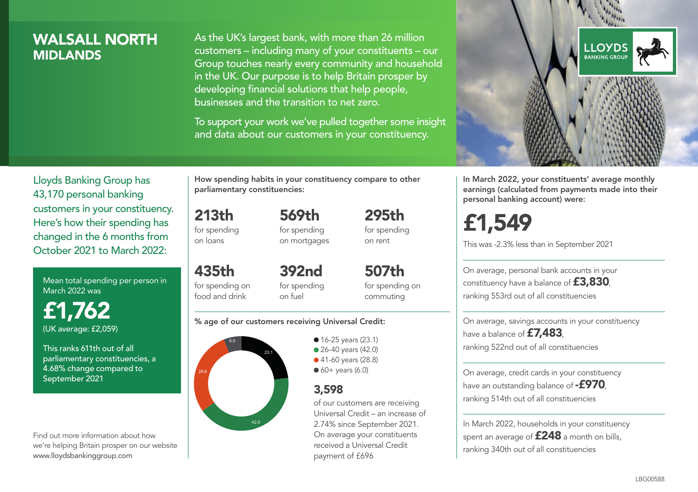## WALSALL NORTH **MIDI ANDS**

As the UK's largest bank, with more than 26 million customers – including many of your constituents – our Group touches nearly every community and household in the UK. Our purpose is to help Britain prosper by developing financial solutions that help people, businesses and the transition to net zero.

To support your work we've pulled together some insight and data about our customers in your constituency.



Mean total spending per person in March 2022 was

£1,762 (UK average: £2,059)

This ranks 611th out of all parliamentary constituencies, a 4.68% change compared to September 2021

Find out more information about how we're helping Britain prosper on our website www.lloydsbankinggroup.com

How spending habits in your constituency compare to other parliamentary constituencies:

213th for spending 569th

on loans

for spending on mortgages

435th for spending on food and drink 392nd for spending on fuel

for spending on commuting

507th

295th for spending on rent

#### % age of our customers receiving Universal Credit:



• 16-25 years (23.1) ● 26-40 years (42.0) ● 41-60 years (28.8)  $60+$  years (6.0)

### 3,598

of our customers are receiving Universal Credit – an increase of 2.74% since September 2021. On average your constituents received a Universal Credit payment of £696



In March 2022, your constituents' average monthly earnings (calculated from payments made into their personal banking account) were:

£1,549

This was -2.3% less than in September 2021

On average, personal bank accounts in your constituency have a balance of £3,830, ranking 553rd out of all constituencies

On average, savings accounts in your constituency have a balance of **£7,483** ranking 522nd out of all constituencies

On average, credit cards in your constituency have an outstanding balance of  $-$ £970, ranking 514th out of all constituencies

In March 2022, households in your constituency spent an average of **£248** a month on bills, ranking 340th out of all constituencies